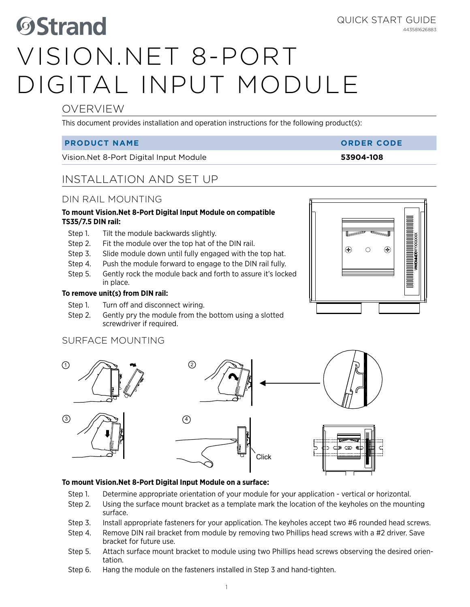# **OStrand** Vision.Net 8-Port Digital Input Module

# OVERVIEW

This document provides installation and operation instructions for the following product(s):

### **PRODUCT NAME ORDER CODE**

Vision.Net 8-Port Digital Input Module **53904-108**

# INSTALLATION AND SET UP

# DIN RAIL MOUNTING

#### **To mount Vision.Net 8-Port Digital Input Module on compatible TS35/7.5 DIN rail:**

- Step 1. Tilt the module backwards slightly.
- Step 2. Fit the module over the top hat of the DIN rail.
- Step 3. Slide module down until fully engaged with the top hat.
- Step 4. Push the module forward to engage to the DIN rail fully.
- Step 5. Gently rock the module back and forth to assure it's locked in place.

### **To remove unit(s) from DIN rail:**

- Step 1. Turn off and disconnect wiring.
- Step 2. Gently pry the module from the bottom using a slotted screwdriver if required.

## SURFACE MOUNTING



#### **To mount Vision.Net 8-Port Digital Input Module on a surface:**

- Step 1. Determine appropriate orientation of your module for your application vertical or horizontal.
- Step 2. Using the surface mount bracket as a template mark the location of the keyholes on the mounting surface.
- Step 3. Install appropriate fasteners for your application. The keyholes accept two #6 rounded head screws.
- Step 4. Remove DIN rail bracket from module by removing two Phillips head screws with a #2 driver. Save bracket for future use.
- Step 5. Attach surface mount bracket to module using two Phillips head screws observing the desired orientation.
- Step 6. Hang the module on the fasteners installed in Step 3 and hand-tighten.

1